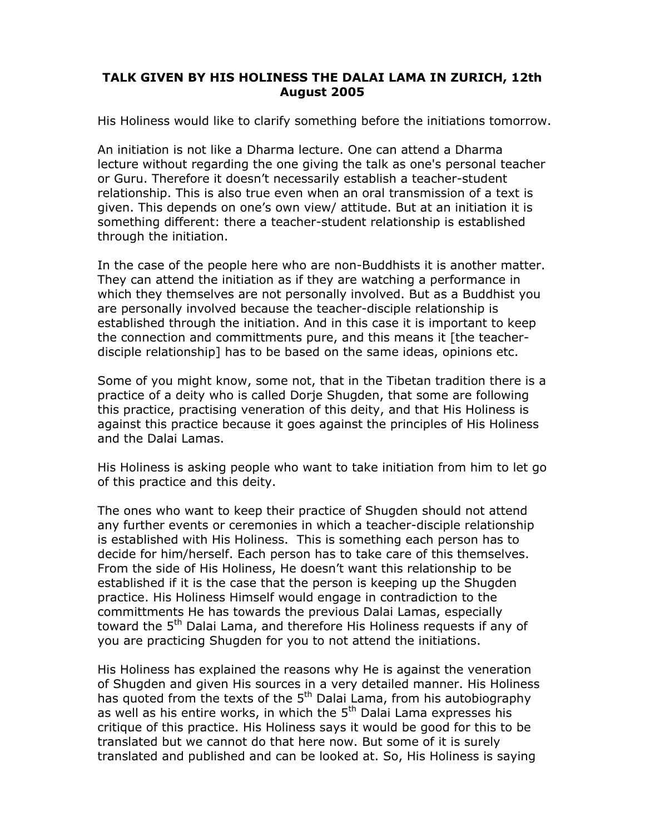## **TALK GIVEN BY HIS HOLINESS THE DALAI LAMA IN ZURICH, 12th August 2005**

His Holiness would like to clarify something before the initiations tomorrow.

An initiation is not like a Dharma lecture. One can attend a Dharma lecture without regarding the one giving the talk as one's personal teacher or Guru. Therefore it doesn't necessarily establish a teacher-student relationship. This is also true even when an oral transmission of a text is given. This depends on one's own view/ attitude. But at an initiation it is something different: there a teacher-student relationship is established through the initiation.

In the case of the people here who are non-Buddhists it is another matter. They can attend the initiation as if they are watching a performance in which they themselves are not personally involved. But as a Buddhist you are personally involved because the teacher-disciple relationship is established through the initiation. And in this case it is important to keep the connection and committments pure, and this means it [the teacherdisciple relationship] has to be based on the same ideas, opinions etc.

Some of you might know, some not, that in the Tibetan tradition there is a practice of a deity who is called Dorje Shugden, that some are following this practice, practising veneration of this deity, and that His Holiness is against this practice because it goes against the principles of His Holiness and the Dalai Lamas.

His Holiness is asking people who want to take initiation from him to let go of this practice and this deity.

The ones who want to keep their practice of Shugden should not attend any further events or ceremonies in which a teacher-disciple relationship is established with His Holiness. This is something each person has to decide for him/herself. Each person has to take care of this themselves. From the side of His Holiness, He doesn't want this relationship to be established if it is the case that the person is keeping up the Shugden practice. His Holiness Himself would engage in contradiction to the committments He has towards the previous Dalai Lamas, especially toward the 5<sup>th</sup> Dalai Lama, and therefore His Holiness requests if any of you are practicing Shugden for you to not attend the initiations.

His Holiness has explained the reasons why He is against the veneration of Shugden and given His sources in a very detailed manner. His Holiness has quoted from the texts of the  $5<sup>th</sup>$  Dalai Lama, from his autobiography as well as his entire works, in which the  $5<sup>th</sup>$  Dalai Lama expresses his critique of this practice. His Holiness says it would be good for this to be translated but we cannot do that here now. But some of it is surely translated and published and can be looked at. So, His Holiness is saying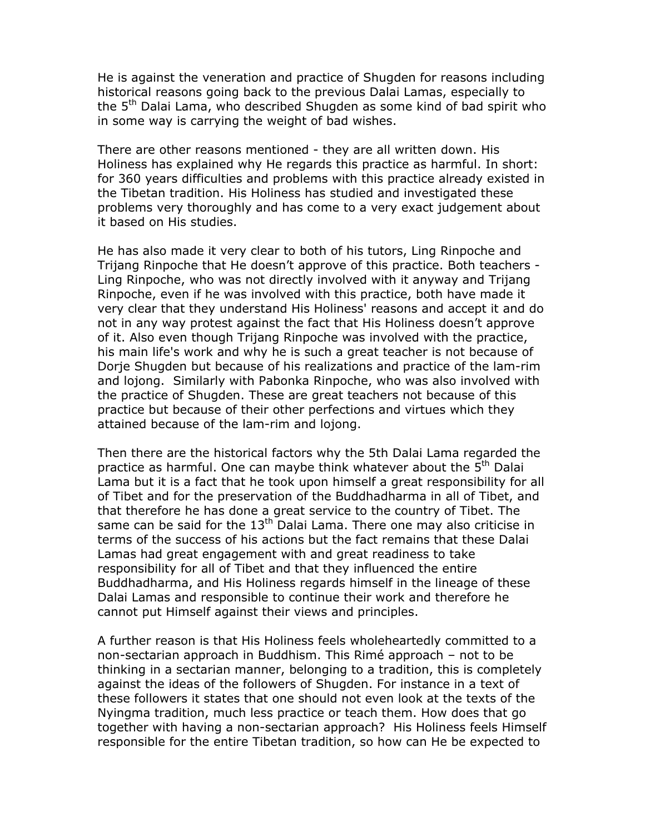He is against the veneration and practice of Shugden for reasons including historical reasons going back to the previous Dalai Lamas, especially to the 5th Dalai Lama, who described Shugden as some kind of bad spirit who in some way is carrying the weight of bad wishes.

There are other reasons mentioned - they are all written down. His Holiness has explained why He regards this practice as harmful. In short: for 360 years difficulties and problems with this practice already existed in the Tibetan tradition. His Holiness has studied and investigated these problems very thoroughly and has come to a very exact judgement about it based on His studies.

He has also made it very clear to both of his tutors, Ling Rinpoche and Trijang Rinpoche that He doesn't approve of this practice. Both teachers - Ling Rinpoche, who was not directly involved with it anyway and Trijang Rinpoche, even if he was involved with this practice, both have made it very clear that they understand His Holiness' reasons and accept it and do not in any way protest against the fact that His Holiness doesn't approve of it. Also even though Trijang Rinpoche was involved with the practice, his main life's work and why he is such a great teacher is not because of Dorje Shugden but because of his realizations and practice of the lam-rim and lojong. Similarly with Pabonka Rinpoche, who was also involved with the practice of Shugden. These are great teachers not because of this practice but because of their other perfections and virtues which they attained because of the lam-rim and lojong.

Then there are the historical factors why the 5th Dalai Lama regarded the practice as harmful. One can maybe think whatever about the 5<sup>th</sup> Dalai Lama but it is a fact that he took upon himself a great responsibility for all of Tibet and for the preservation of the Buddhadharma in all of Tibet, and that therefore he has done a great service to the country of Tibet. The same can be said for the  $13<sup>th</sup>$  Dalai Lama. There one may also criticise in terms of the success of his actions but the fact remains that these Dalai Lamas had great engagement with and great readiness to take responsibility for all of Tibet and that they influenced the entire Buddhadharma, and His Holiness regards himself in the lineage of these Dalai Lamas and responsible to continue their work and therefore he cannot put Himself against their views and principles.

A further reason is that His Holiness feels wholeheartedly committed to a non-sectarian approach in Buddhism. This Rimé approach – not to be thinking in a sectarian manner, belonging to a tradition, this is completely against the ideas of the followers of Shugden. For instance in a text of these followers it states that one should not even look at the texts of the Nyingma tradition, much less practice or teach them. How does that go together with having a non-sectarian approach? His Holiness feels Himself responsible for the entire Tibetan tradition, so how can He be expected to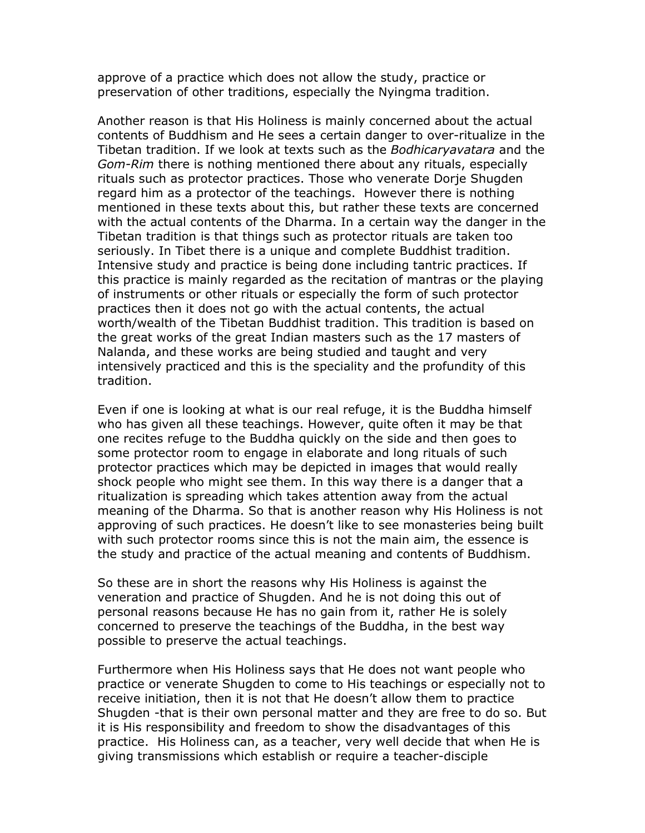approve of a practice which does not allow the study, practice or preservation of other traditions, especially the Nyingma tradition.

Another reason is that His Holiness is mainly concerned about the actual contents of Buddhism and He sees a certain danger to over-ritualize in the Tibetan tradition. If we look at texts such as the *Bodhicaryavatara* and the *Gom-Rim* there is nothing mentioned there about any rituals, especially rituals such as protector practices. Those who venerate Dorje Shugden regard him as a protector of the teachings. However there is nothing mentioned in these texts about this, but rather these texts are concerned with the actual contents of the Dharma. In a certain way the danger in the Tibetan tradition is that things such as protector rituals are taken too seriously. In Tibet there is a unique and complete Buddhist tradition. Intensive study and practice is being done including tantric practices. If this practice is mainly regarded as the recitation of mantras or the playing of instruments or other rituals or especially the form of such protector practices then it does not go with the actual contents, the actual worth/wealth of the Tibetan Buddhist tradition. This tradition is based on the great works of the great Indian masters such as the 17 masters of Nalanda, and these works are being studied and taught and very intensively practiced and this is the speciality and the profundity of this tradition.

Even if one is looking at what is our real refuge, it is the Buddha himself who has given all these teachings. However, quite often it may be that one recites refuge to the Buddha quickly on the side and then goes to some protector room to engage in elaborate and long rituals of such protector practices which may be depicted in images that would really shock people who might see them. In this way there is a danger that a ritualization is spreading which takes attention away from the actual meaning of the Dharma. So that is another reason why His Holiness is not approving of such practices. He doesn't like to see monasteries being built with such protector rooms since this is not the main aim, the essence is the study and practice of the actual meaning and contents of Buddhism.

So these are in short the reasons why His Holiness is against the veneration and practice of Shugden. And he is not doing this out of personal reasons because He has no gain from it, rather He is solely concerned to preserve the teachings of the Buddha, in the best way possible to preserve the actual teachings.

Furthermore when His Holiness says that He does not want people who practice or venerate Shugden to come to His teachings or especially not to receive initiation, then it is not that He doesn't allow them to practice Shugden -that is their own personal matter and they are free to do so. But it is His responsibility and freedom to show the disadvantages of this practice. His Holiness can, as a teacher, very well decide that when He is giving transmissions which establish or require a teacher-disciple